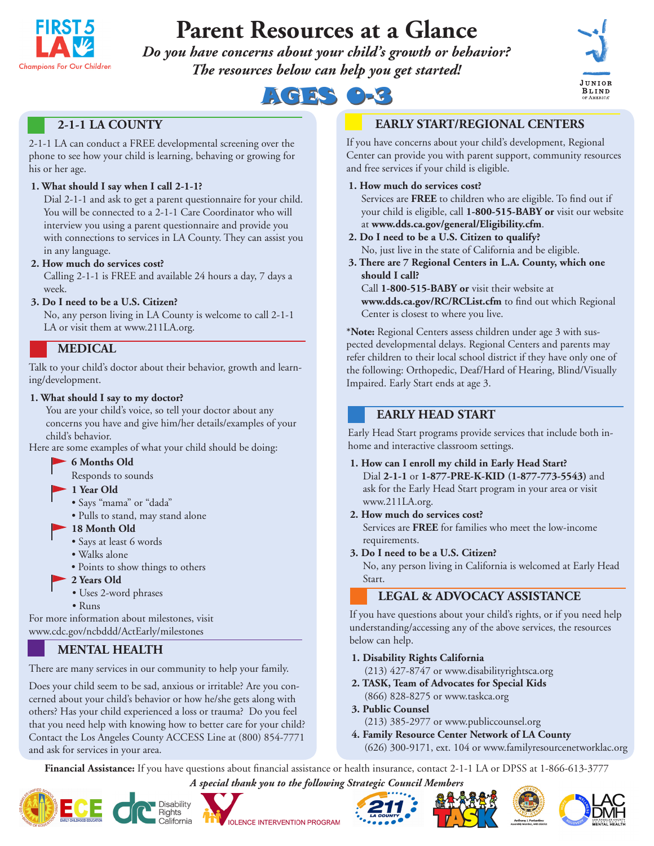

# **Parent Resources at a Glance**

*Do you have concerns about your child's growth or behavior? The resources below can help you get started!*





# **2-1-1 LA COUNTY**

2-1-1 LA can conduct a FREE developmental screening over the phone to see how your child is learning, behaving or growing for his or her age.

## **1. What should I say when I call 2-1-1?**

Dial 2-1-1 and ask to get a parent questionnaire for your child. You will be connected to a 2-1-1 Care Coordinator who will interview you using a parent questionnaire and provide you with connections to services in LA County. They can assist you in any language.

## **2. How much do services cost?**

Calling 2-1-1 is FREE and available 24 hours a day, 7 days a week.

#### **3. Do I need to be a U.S. Citizen?**

No, any person living in LA County is welcome to call 2-1-1 LA or visit them at www.211LA.org.

# **MEDICAL**

Talk to your child's doctor about their behavior, growth and learning/development.

#### **1. What should I say to my doctor?**

You are your child's voice, so tell your doctor about any concerns you have and give him/her details/examples of your child's behavior.

Here are some examples of what your child should be doing:

- **6 Months Old**
- Responds to sounds

#### **1 Year Old**

- Says "mama" or "dada"
- Pulls to stand, may stand alone

## **18 Month Old**

- Says at least 6 words
- Walks alone
- Points to show things to others
- **2 Years Old**
- Uses 2-word phrases
- Runs

For more information about milestones, visit www.cdc.gov/ncbddd/ActEarly/milestones

# **MENTAL HEALTH**

There are many services in our community to help your family.

Does your child seem to be sad, anxious or irritable? Are you concerned about your child's behavior or how he/she gets along with others? Has your child experienced a loss or trauma? Do you feel that you need help with knowing how to better care for your child? Contact the Los Angeles County ACCESS Line at (800) 854-7771 and ask for services in your area.

# **EARLY START/REGIONAL CENTERS**

If you have concerns about your child's development, Regional Center can provide you with parent support, community resources and free services if your child is eligible.

### **1. How much do services cost?**

Services are **FREE** to children who are eligible. To find out if your child is eligible, call **1-800-515-BABY or** visit our website at **www.dds.ca.gov/general/Eligibility.cfm**.

- **2. Do I need to be a U.S. Citizen to qualify?** No, just live in the state of California and be eligible.
- **3. There are 7 Regional Centers in L.A. County, which one should I call?**

Call **1-800-515-BABY or** visit their website at **www.dds.ca.gov/RC/RCList.cfm** to find out which Regional Center is closest to where you live.

**\*Note:** Regional Centers assess children under age 3 with suspected developmental delays. Regional Centers and parents may refer children to their local school district if they have only one of the following: Orthopedic, Deaf/Hard of Hearing, Blind/Visually Impaired. Early Start ends at age 3.

# **EARLY HEAD START**

Early Head Start programs provide services that include both inhome and interactive classroom settings.

- **1. How can I enroll my child in Early Head Start?**  Dial **2-1-1** or **1-877-PRE-K-KID (1-877-773-5543)** and ask for the Early Head Start program in your area or visit www.211LA.org.
- **2. How much do services cost?**

Services are **FREE** for families who meet the low-income requirements.

**3. Do I need to be a U.S. Citizen?**

No, any person living in California is welcomed at Early Head Start.

# **LEGAL & ADVOCACY ASSISTANCE**

If you have questions about your child's rights, or if you need help understanding/accessing any of the above services, the resources below can help.

- **1. Disability Rights California**
- (213) 427-8747 or www.disabilityrightsca.org **2. TASK, Team of Advocates for Special Kids**
- (866) 828-8275 or www.taskca.org
- **3. Public Counsel**  (213) 385-2977 or www.publiccounsel.org
- **4. Family Resource Center Network of LA County** (626) 300-9171, ext. 104 or www.familyresourcenetworklac.org

**Financial Assistance:** If you have questions about financial assistance or health insurance, contact 2-1-1 LA or DPSS at 1-866-613-3777

*A special thank you to the following Strategic Council Members*